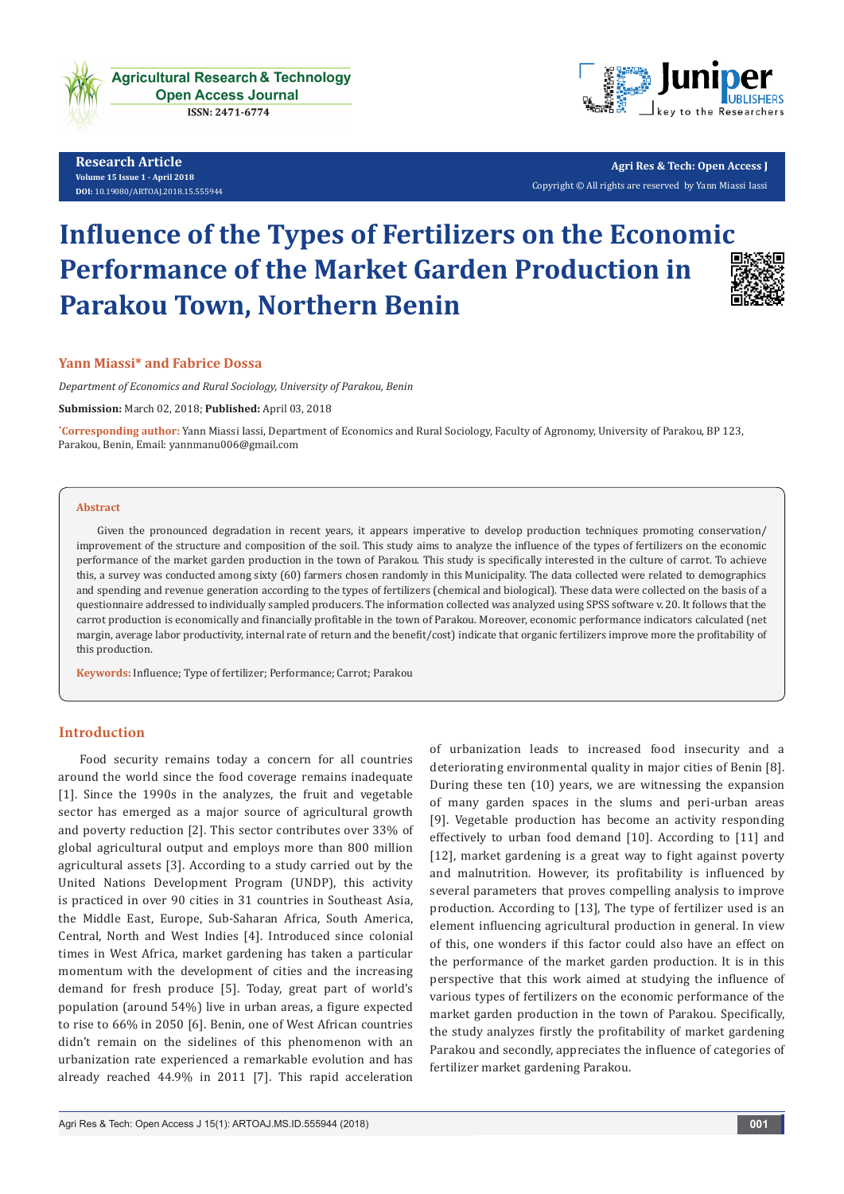

**Research Article Volume 15 Issue 1 - April 2018 [DOI:](http://dx.doi.org/10.19080/artoaj.2016.02.555590
)** [10.19080/ARTOAJ.2018.15.55594](http://http://dx.doi.org/10.19080/ARTOAJ.2018.15.555943)4

**Agri Res & Tech: Open Access J** Copyright © All rights are reserved by Yann Miassi Iassi

# **Influence of the Types of Fertilizers on the Economic Performance of the Market Garden Production in Parakou Town, Northern Benin**



#### **Yann Miassi\* and Fabrice Dossa**

*Department of Economics and Rural Sociology, University of Parakou, Benin*

**Submission:** March 02, 2018; **Published:** April 03, 2018

**\* Corresponding author:** Yann Miassi Iassi, Department of Economics and Rural Sociology, Faculty of Agronomy, University of Parakou, BP 123, Parakou, Benin, Email: yannmanu006@gmail.com

#### **Abstract**

Given the pronounced degradation in recent years, it appears imperative to develop production techniques promoting conservation/ improvement of the structure and composition of the soil. This study aims to analyze the influence of the types of fertilizers on the economic performance of the market garden production in the town of Parakou. This study is specifically interested in the culture of carrot. To achieve this, a survey was conducted among sixty (60) farmers chosen randomly in this Municipality. The data collected were related to demographics and spending and revenue generation according to the types of fertilizers (chemical and biological). These data were collected on the basis of a questionnaire addressed to individually sampled producers. The information collected was analyzed using SPSS software v. 20. It follows that the carrot production is economically and financially profitable in the town of Parakou. Moreover, economic performance indicators calculated (net margin, average labor productivity, internal rate of return and the benefit/cost) indicate that organic fertilizers improve more the profitability of this production.

**Keywords:** Influence; Type of fertilizer; Performance; Carrot; Parakou

# **Introduction**

Food security remains today a concern for all countries around the world since the food coverage remains inadequate [1]. Since the 1990s in the analyzes, the fruit and vegetable sector has emerged as a major source of agricultural growth and poverty reduction [2]. This sector contributes over 33% of global agricultural output and employs more than 800 million agricultural assets [3]. According to a study carried out by the United Nations Development Program (UNDP), this activity is practiced in over 90 cities in 31 countries in Southeast Asia, the Middle East, Europe, Sub-Saharan Africa, South America, Central, North and West Indies [4]. Introduced since colonial times in West Africa, market gardening has taken a particular momentum with the development of cities and the increasing demand for fresh produce [5]. Today, great part of world's population (around 54%) live in urban areas, a figure expected to rise to 66% in 2050 [6]. Benin, one of West African countries didn't remain on the sidelines of this phenomenon with an urbanization rate experienced a remarkable evolution and has already reached 44.9% in 2011 [7]. This rapid acceleration

of urbanization leads to increased food insecurity and a deteriorating environmental quality in major cities of Benin [8]. During these ten (10) years, we are witnessing the expansion of many garden spaces in the slums and peri-urban areas [9]. Vegetable production has become an activity responding effectively to urban food demand [10]. According to [11] and [12], market gardening is a great way to fight against poverty and malnutrition. However, its profitability is influenced by several parameters that proves compelling analysis to improve production. According to [13], The type of fertilizer used is an element influencing agricultural production in general. In view of this, one wonders if this factor could also have an effect on the performance of the market garden production. It is in this perspective that this work aimed at studying the influence of various types of fertilizers on the economic performance of the market garden production in the town of Parakou. Specifically, the study analyzes firstly the profitability of market gardening Parakou and secondly, appreciates the influence of categories of fertilizer market gardening Parakou.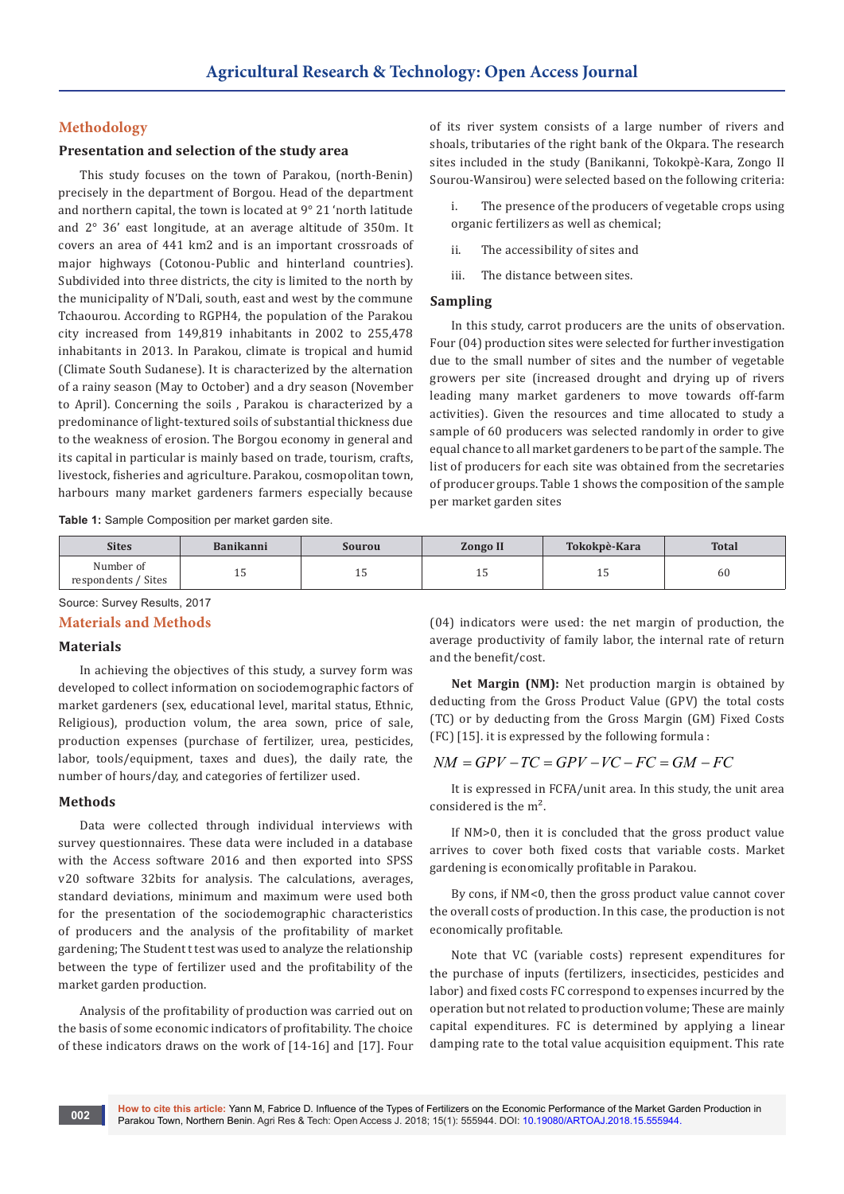# **Methodology**

# **Presentation and selection of the study area**

This study focuses on the town of Parakou, (north-Benin) precisely in the department of Borgou. Head of the department and northern capital, the town is located at 9° 21 'north latitude and 2° 36' east longitude, at an average altitude of 350m. It covers an area of 441 km2 and is an important crossroads of major highways (Cotonou-Public and hinterland countries). Subdivided into three districts, the city is limited to the north by the municipality of N'Dali, south, east and west by the commune Tchaourou. According to RGPH4, the population of the Parakou city increased from 149,819 inhabitants in 2002 to 255,478 inhabitants in 2013. In Parakou, climate is tropical and humid (Climate South Sudanese). It is characterized by the alternation of a rainy season (May to October) and a dry season (November to April). Concerning the soils , Parakou is characterized by a predominance of light-textured soils of substantial thickness due to the weakness of erosion. The Borgou economy in general and its capital in particular is mainly based on trade, tourism, crafts, livestock, fisheries and agriculture. Parakou, cosmopolitan town, harbours many market gardeners farmers especially because

of its river system consists of a large number of rivers and shoals, tributaries of the right bank of the Okpara. The research sites included in the study (Banikanni, Tokokpè-Kara, Zongo II Sourou-Wansirou) were selected based on the following criteria:

The presence of the producers of vegetable crops using organic fertilizers as well as chemical;

ii. The accessibility of sites and

iii. The distance between sites.

#### **Sampling**

In this study, carrot producers are the units of observation. Four (04) production sites were selected for further investigation due to the small number of sites and the number of vegetable growers per site (increased drought and drying up of rivers leading many market gardeners to move towards off-farm activities). Given the resources and time allocated to study a sample of 60 producers was selected randomly in order to give equal chance to all market gardeners to be part of the sample. The list of producers for each site was obtained from the secretaries of producer groups. Table 1 shows the composition of the sample per market garden sites

**Table 1:** Sample Composition per market garden site.

| <b>Sites</b>                          | <b>Banikanni</b> | Sourou | <b>Zongo II</b> | Tokokpè-Kara | <b>Total</b> |
|---------------------------------------|------------------|--------|-----------------|--------------|--------------|
| Number of<br>' Sites<br>respondents / | ⊥∪               | ⊥∪     | ᆠ               | <b>LU</b>    | 60           |

Source: Survey Results, 2017

#### **Materials and Methods**

## **Materials**

In achieving the objectives of this study, a survey form was developed to collect information on sociodemographic factors of market gardeners (sex, educational level, marital status, Ethnic, Religious), production volum, the area sown, price of sale, production expenses (purchase of fertilizer, urea, pesticides, labor, tools/equipment, taxes and dues), the daily rate, the number of hours/day, and categories of fertilizer used.

#### **Methods**

**002**

Data were collected through individual interviews with survey questionnaires. These data were included in a database with the Access software 2016 and then exported into SPSS v20 software 32bits for analysis. The calculations, averages, standard deviations, minimum and maximum were used both for the presentation of the sociodemographic characteristics of producers and the analysis of the profitability of market gardening; The Student t test was used to analyze the relationship between the type of fertilizer used and the profitability of the market garden production.

Analysis of the profitability of production was carried out on the basis of some economic indicators of profitability. The choice of these indicators draws on the work of [14-16] and [17]. Four

(04) indicators were used: the net margin of production, the average productivity of family labor, the internal rate of return and the benefit/cost.

**Net Margin (NM):** Net production margin is obtained by deducting from the Gross Product Value (GPV) the total costs (TC) or by deducting from the Gross Margin (GM) Fixed Costs (FC) [15]. it is expressed by the following formula :

# $NM = GPV - TC = GPV - VC - FC = GM - FC$

It is expressed in FCFA/unit area. In this study, the unit area considered is the m².

If NM>0, then it is concluded that the gross product value arrives to cover both fixed costs that variable costs. Market gardening is economically profitable in Parakou.

By cons, if NM<0, then the gross product value cannot cover the overall costs of production. In this case, the production is not economically profitable.

Note that VC (variable costs) represent expenditures for the purchase of inputs (fertilizers, insecticides, pesticides and labor) and fixed costs FC correspond to expenses incurred by the operation but not related to production volume; These are mainly capital expenditures. FC is determined by applying a linear damping rate to the total value acquisition equipment. This rate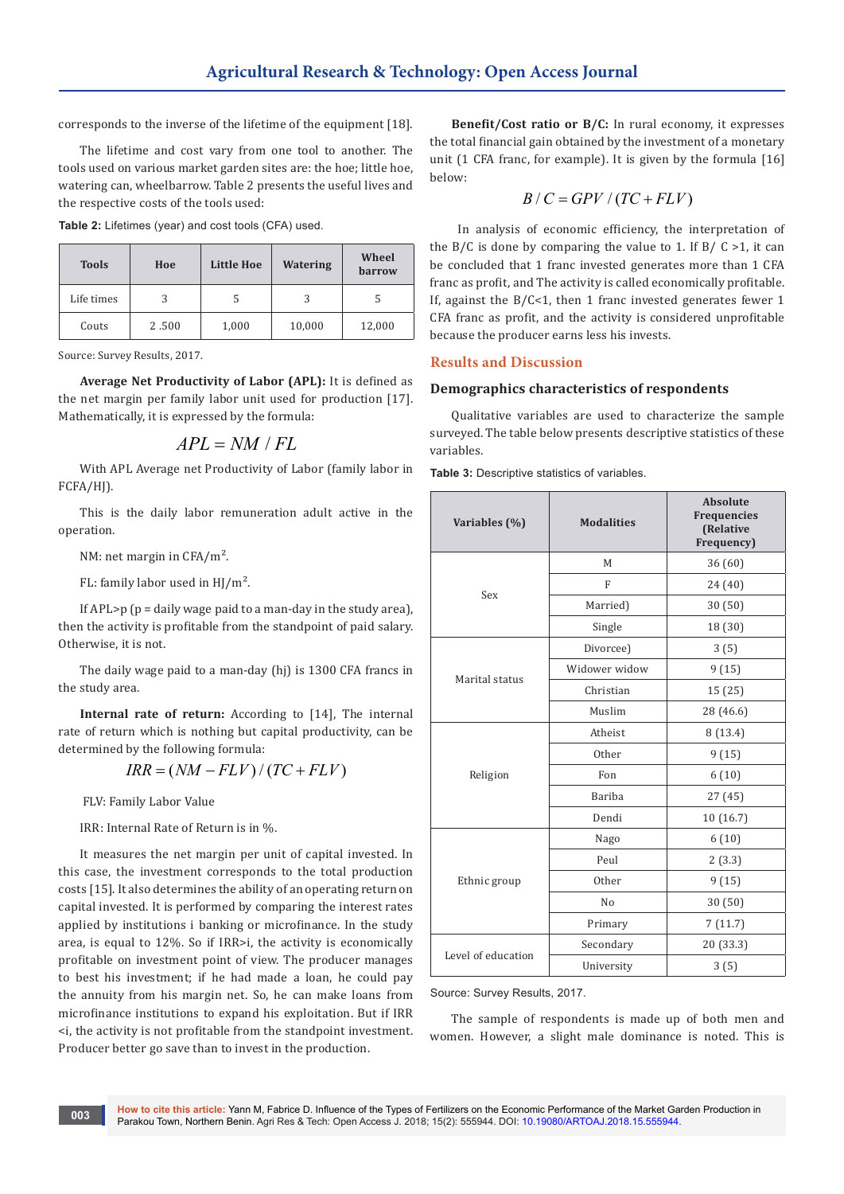corresponds to the inverse of the lifetime of the equipment [18].

The lifetime and cost vary from one tool to another. The tools used on various market garden sites are: the hoe; little hoe, watering can, wheelbarrow. Table 2 presents the useful lives and the respective costs of the tools used:

**Table 2:** Lifetimes (year) and cost tools (CFA) used.

| <b>Tools</b> | Hoe   | Little Hoe | Watering | Wheel<br><b>barrow</b> |
|--------------|-------|------------|----------|------------------------|
| Life times   | 3     |            | 3        |                        |
| Couts        | 2.500 | 1,000      | 10,000   | 12,000                 |

Source: Survey Results, 2017.

**Average Net Productivity of Labor (APL):** It is defined as the net margin per family labor unit used for production [17]. Mathematically, it is expressed by the formula:

$$
APL = NM / FL
$$

With APL Average net Productivity of Labor (family labor in FCFA/HJ).

This is the daily labor remuneration adult active in the operation.

NM: net margin in CFA/m².

FL: family labor used in HJ/m².

If APL $> p$  ( $p =$  daily wage paid to a man-day in the study area), then the activity is profitable from the standpoint of paid salary. Otherwise, it is not.

The daily wage paid to a man-day (hj) is 1300 CFA francs in the study area.

**Internal rate of return:** According to [14], The internal rate of return which is nothing but capital productivity, can be determined by the following formula:

$$
IRR = (NM - FLV) / (TC + FLV)
$$

FLV: Family Labor Value

IRR: Internal Rate of Return is in %.

It measures the net margin per unit of capital invested. In this case, the investment corresponds to the total production costs [15]. It also determines the ability of an operating return on capital invested. It is performed by comparing the interest rates applied by institutions i banking or microfinance. In the study area, is equal to 12%. So if IRR>i, the activity is economically profitable on investment point of view. The producer manages to best his investment; if he had made a loan, he could pay the annuity from his margin net. So, he can make loans from microfinance institutions to expand his exploitation. But if IRR <i, the activity is not profitable from the standpoint investment. Producer better go save than to invest in the production.

**Benefit/Cost ratio or B/C:** In rural economy, it expresses the total financial gain obtained by the investment of a monetary unit (1 CFA franc, for example). It is given by the formula [16] below:

$$
B/C = GPV/(TC + FLV)
$$

 In analysis of economic efficiency, the interpretation of the B/C is done by comparing the value to 1. If B/C  $>1$ , it can be concluded that 1 franc invested generates more than 1 CFA franc as profit, and The activity is called economically profitable. If, against the  $B/C<1$ , then 1 franc invested generates fewer 1 CFA franc as profit, and the activity is considered unprofitable because the producer earns less his invests.

#### **Results and Discussion**

#### **Demographics characteristics of respondents**

Qualitative variables are used to characterize the sample surveyed. The table below presents descriptive statistics of these variables.

**Table 3:** Descriptive statistics of variables.

| Variables (%)      | <b>Modalities</b> | <b>Absolute</b><br><b>Frequencies</b><br><b>(Relative</b><br>Frequency) |
|--------------------|-------------------|-------------------------------------------------------------------------|
|                    | M                 | 36 (60)                                                                 |
|                    | $\mathbf{F}$      | 24 (40)                                                                 |
| Sex                | Married)          | 30(50)                                                                  |
|                    | Single            | 18 (30)                                                                 |
|                    | Divorcee)         | 3(5)                                                                    |
| Marital status     | Widower widow     | 9(15)                                                                   |
|                    | Christian         | 15 (25)                                                                 |
|                    | Muslim            | 28 (46.6)                                                               |
|                    | Atheist           | 8(13.4)                                                                 |
|                    | Other             | 9(15)                                                                   |
| Religion           | Fon               | 6(10)                                                                   |
|                    | Bariba            | 27(45)                                                                  |
|                    | Dendi             | 10 (16.7)                                                               |
|                    | Nago              | 6(10)                                                                   |
|                    | Peul              | 2(3.3)                                                                  |
| Ethnic group       | Other             | 9(15)                                                                   |
|                    | N <sub>0</sub>    | 30(50)                                                                  |
|                    | Primary           | 7(11.7)                                                                 |
|                    | Secondary         | 20 (33.3)                                                               |
| Level of education | University        | 3(5)                                                                    |

#### Source: Survey Results, 2017.

The sample of respondents is made up of both men and women. However, a slight male dominance is noted. This is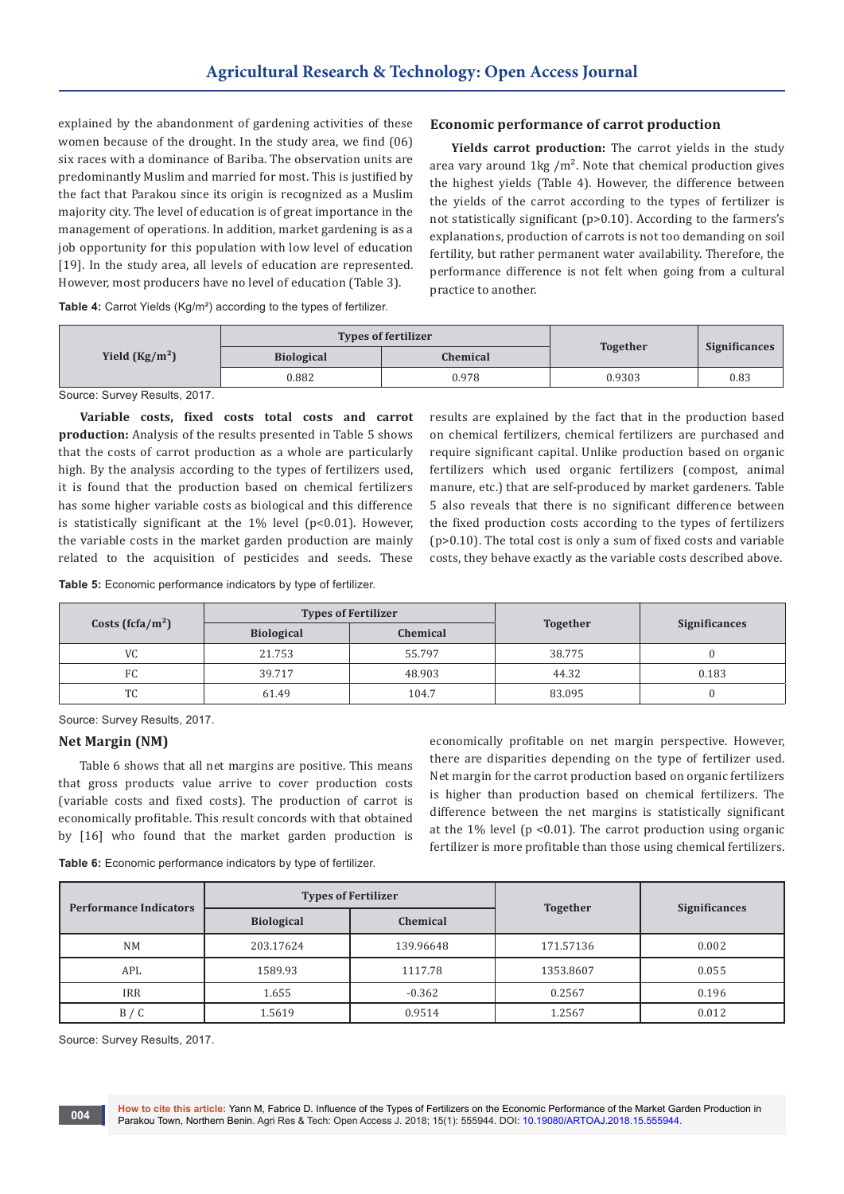explained by the abandonment of gardening activities of these women because of the drought. In the study area, we find (06) six races with a dominance of Bariba. The observation units are predominantly Muslim and married for most. This is justified by the fact that Parakou since its origin is recognized as a Muslim majority city. The level of education is of great importance in the management of operations. In addition, market gardening is as a job opportunity for this population with low level of education [19]. In the study area, all levels of education are represented. However, most producers have no level of education (Table 3).

#### **Economic performance of carrot production**

**Yields carrot production:** The carrot yields in the study area vary around  $1\text{kg}/\text{m}^2$ . Note that chemical production gives the highest yields (Table 4). However, the difference between the yields of the carrot according to the types of fertilizer is not statistically significant (p>0.10). According to the farmers's explanations, production of carrots is not too demanding on soil fertility, but rather permanent water availability. Therefore, the performance difference is not felt when going from a cultural practice to another.

**Table 4:** Carrot Yields (Kg/m²) according to the types of fertilizer.

|                 | <b>Types of fertilizer</b> |                 |                 |                      |
|-----------------|----------------------------|-----------------|-----------------|----------------------|
| Yield $(Kg/m2)$ | <b>Biological</b>          | <b>Chemical</b> | <b>Together</b> | <b>Significances</b> |
|                 | 0.882                      | 0.978           | 0.9303          | 0.83                 |
|                 |                            |                 |                 |                      |

Source: Survey Results, 2017.

**Variable costs, fixed costs total costs and carrot production:** Analysis of the results presented in Table 5 shows that the costs of carrot production as a whole are particularly high. By the analysis according to the types of fertilizers used, it is found that the production based on chemical fertilizers has some higher variable costs as biological and this difference is statistically significant at the  $1\%$  level (p<0.01). However, the variable costs in the market garden production are mainly related to the acquisition of pesticides and seeds. These

require significant capital. Unlike production based on organic fertilizers which used organic fertilizers (compost, animal manure, etc.) that are self-produced by market gardeners. Table 5 also reveals that there is no significant difference between the fixed production costs according to the types of fertilizers (p>0.10). The total cost is only a sum of fixed costs and variable costs, they behave exactly as the variable costs described above.

results are explained by the fact that in the production based on chemical fertilizers, chemical fertilizers are purchased and

**Table 5:** Economic performance indicators by type of fertilizer.

| Costs (fcfa/m <sup>2</sup> ) | <b>Types of Fertilizer</b> |          |                 |                      |
|------------------------------|----------------------------|----------|-----------------|----------------------|
|                              | <b>Biological</b>          | Chemical | <b>Together</b> | <b>Significances</b> |
| <b>VC</b>                    | 21.753                     | 55.797   | 38.775          |                      |
| FC.                          | 39.717                     | 48.903   | 44.32           | 0.183                |
| <b>TC</b>                    | 61.49                      | 104.7    | 83.095          |                      |

Source: Survey Results, 2017.

#### **Net Margin (NM)**

Table 6 shows that all net margins are positive. This means that gross products value arrive to cover production costs (variable costs and fixed costs). The production of carrot is economically profitable. This result concords with that obtained by [16] who found that the market garden production is

economically profitable on net margin perspective. However, there are disparities depending on the type of fertilizer used. Net margin for the carrot production based on organic fertilizers is higher than production based on chemical fertilizers. The difference between the net margins is statistically significant at the  $1\%$  level (p < 0.01). The carrot production using organic fertilizer is more profitable than those using chemical fertilizers.

**Table 6:** Economic performance indicators by type of fertilizer.

| <b>Performance Indicators</b> | <b>Types of Fertilizer</b> |           |                 |                      |
|-------------------------------|----------------------------|-----------|-----------------|----------------------|
|                               | <b>Biological</b>          | Chemical  | <b>Together</b> | <b>Significances</b> |
| <b>NM</b>                     | 203.17624                  | 139.96648 | 171.57136       | 0.002                |
| APL                           | 1589.93                    | 1117.78   | 1353.8607       | 0.055                |
| <b>IRR</b>                    | 1.655                      | $-0.362$  | 0.2567          | 0.196                |
| B / C                         | 1.5619                     | 0.9514    | 1.2567          | 0.012                |

Source: Survey Results, 2017.

**004**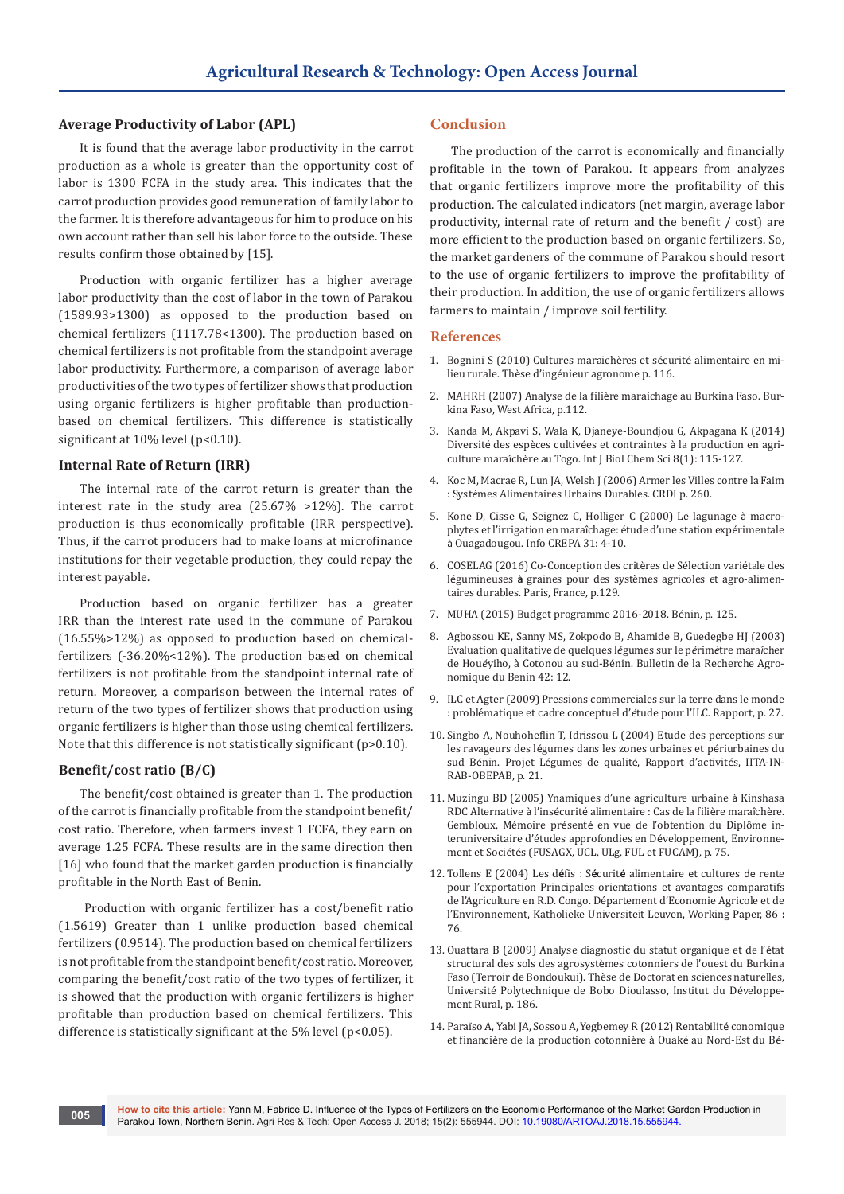#### **Average Productivity of Labor (APL)**

It is found that the average labor productivity in the carrot production as a whole is greater than the opportunity cost of labor is 1300 FCFA in the study area. This indicates that the carrot production provides good remuneration of family labor to the farmer. It is therefore advantageous for him to produce on his own account rather than sell his labor force to the outside. These results confirm those obtained by [15].

Production with organic fertilizer has a higher average labor productivity than the cost of labor in the town of Parakou (1589.93>1300) as opposed to the production based on chemical fertilizers (1117.78<1300). The production based on chemical fertilizers is not profitable from the standpoint average labor productivity. Furthermore, a comparison of average labor productivities of the two types of fertilizer shows that production using organic fertilizers is higher profitable than productionbased on chemical fertilizers. This difference is statistically significant at 10% level (p<0.10).

#### **Internal Rate of Return (IRR)**

The internal rate of the carrot return is greater than the interest rate in the study area (25.67% >12%). The carrot production is thus economically profitable (IRR perspective). Thus, if the carrot producers had to make loans at microfinance institutions for their vegetable production, they could repay the interest payable.

Production based on organic fertilizer has a greater IRR than the interest rate used in the commune of Parakou (16.55%>12%) as opposed to production based on chemicalfertilizers (-36.20%<12%). The production based on chemical fertilizers is not profitable from the standpoint internal rate of return. Moreover, a comparison between the internal rates of return of the two types of fertilizer shows that production using organic fertilizers is higher than those using chemical fertilizers. Note that this difference is not statistically significant (p>0.10).

#### **Benefit/cost ratio (B/C)**

The benefit/cost obtained is greater than 1. The production of the carrot is financially profitable from the standpoint benefit/ cost ratio. Therefore, when farmers invest 1 FCFA, they earn on average 1.25 FCFA. These results are in the same direction then [16] who found that the market garden production is financially profitable in the North East of Benin.

 Production with organic fertilizer has a cost/benefit ratio (1.5619) Greater than 1 unlike production based chemical fertilizers (0.9514). The production based on chemical fertilizers is not profitable from the standpoint benefit/cost ratio. Moreover, comparing the benefit/cost ratio of the two types of fertilizer, it is showed that the production with organic fertilizers is higher profitable than production based on chemical fertilizers. This difference is statistically significant at the 5% level (p<0.05).

### **Conclusion**

The production of the carrot is economically and financially profitable in the town of Parakou. It appears from analyzes that organic fertilizers improve more the profitability of this production. The calculated indicators (net margin, average labor productivity, internal rate of return and the benefit / cost) are more efficient to the production based on organic fertilizers. So, the market gardeners of the commune of Parakou should resort to the use of organic fertilizers to improve the profitability of their production. In addition, the use of organic fertilizers allows farmers to maintain / improve soil fertility.

#### **References**

- 1. [Bognini S \(2010\) Cultures maraich](https://www.memoireonline.com/02/12/5258/m_Cultures-maraicirccheres-et-securite-alimentaire-en-milieu-rural4.html)ères et sécurité alimentaire en milieu rurale. Thèse d'ingé[nieur agronome p. 116.](https://www.memoireonline.com/02/12/5258/m_Cultures-maraicirccheres-et-securite-alimentaire-en-milieu-rural4.html)
- 2. MAHRH (2007) Analyse de la filiè[re maraichage au Burkina Faso. Bur](http://www.fao.org/docs/up/easypol/887/analyse-filiere-maraichage_107fr.pdf)[kina Faso, West Africa, p.112.](http://www.fao.org/docs/up/easypol/887/analyse-filiere-maraichage_107fr.pdf)
- 3. [Kanda M, Akpavi S, Wala K, Djaneye-Boundjou G, Akpagana K \(2014\)](https://www.ajol.info/index.php/ijbcs/article/view/104039)  Diversité des espèces cultivées et contraintes à [la production en agri](https://www.ajol.info/index.php/ijbcs/article/view/104039)culture maraîchè[re au Togo. Int J Biol Chem Sci 8\(1\): 115-127.](https://www.ajol.info/index.php/ijbcs/article/view/104039)
- 4. [Koc M, Macrae R, Lun JA, Welsh J \(2006\) Armer les Villes contre la Faim](https://idl-bnc-idrc.dspacedirect.org/handle/10625/29661)  : Syst*è*[mes Alimentaires Urbains Durables. CRDI p. 260.](https://idl-bnc-idrc.dspacedirect.org/handle/10625/29661)
- 5. Kone D, Cisse G, Seignez C, Holliger C (2000) Le lagunage à macrophytes et l'irrigation en maraîchage: étude d'une station expérimentale à Ouagadougou. Info CREPA 31: 4-10.
- 6. COSELAG (2016) Co-Conception des critères de Sélection variétale des légumineuses **à** graines pour des systèmes agricoles et agro-alimentaires durables. Paris, France, p.129.
- 7. MUHA (2015) Budget programme 2016-2018. Bénin, p. 125.
- 8. Agbossou KE, Sanny MS, Zokpodo B, Ahamide B, Guedegbe HJ (2003) Evaluation qualitative de quelques l*é*gumes sur le p*é*rim*è*tre mara*î*cher de Hou*é*yiho, à Cotonou au sud-Bénin. Bulletin de la Recherche Agronomique du Benin 42: 12.
- 9. ILC et Agter (2009) Pressions commerciales sur la terre dans le monde : problématique et cadre conceptuel d'*é*tude pour l'ILC. Rapport, p. 27.
- 10. Singbo A, Nouhoheflin T, Idrissou L (2004) Etude des perceptions sur les ravageurs des légumes dans les zones urbaines et périurbaines du sud Bénin. Projet Légumes de qualité, Rapport d'activités, IITA-IN-RAB-OBEPAB, p. 21.
- 11. Muzingu BD (2005) Ynamiques d'une agriculture urbaine à Kinshasa RDC Alternative à l'insécurité alimentaire : Cas de la filière maraîchère. Gembloux, Mémoire présenté en vue de l'obtention du Diplôme interuniversitaire d'études approfondies en Développement, Environnement et Sociétés (FUSAGX, UCL, ULg, FUL et FUCAM), p. 75.
- 12. Tollens E (2004) Les d**é**fis : S**é**curit**é** alimentaire et cultures de rente pour l'exportation Principales orientations et avantages comparatifs de l'Agriculture en R.D. Congo. Département d'Economie Agricole et de l'Environnement, Katholieke Universiteit Leuven, Working Paper, 86 **:** 76.
- 13. Ouattara B (2009) Analyse diagnostic du statut organique et de l'état structural des sols des agrosystèmes cotonniers de l'ouest du Burkina Faso (Terroir de Bondoukui). Thèse de Doctorat en sciences naturelles, Université Polytechnique de Bobo Dioulasso, Institut du Développement Rural, p. 186.
- 14. [Paraïso A, Yabi JA, Sossou A, Yegbemey R \(2012\) Rentabilit](https://www.ajol.info/index.php/asab/article/view/106721)é conomique et financiè[re de la production cotonni](https://www.ajol.info/index.php/asab/article/view/106721)ère à Ouaké au Nord-Est du Bé-